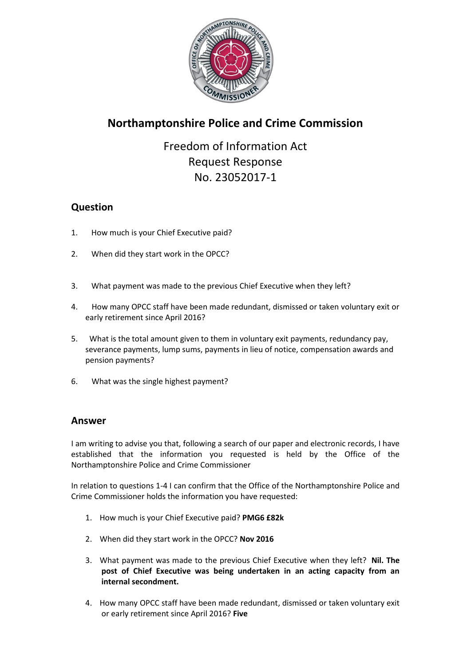

# **Northamptonshire Police and Crime Commission**

Freedom of Information Act Request Response No. 23052017-1

## **Question**

- 1. How much is your Chief Executive paid?
- 2. When did they start work in the OPCC?
- 3. What payment was made to the previous Chief Executive when they left?
- 4. How many OPCC staff have been made redundant, dismissed or taken voluntary exit or early retirement since April 2016?
- 5. What is the total amount given to them in voluntary exit payments, redundancy pay, severance payments, lump sums, payments in lieu of notice, compensation awards and pension payments?
- 6. What was the single highest payment?

## **Answer**

I am writing to advise you that, following a search of our paper and electronic records, I have established that the information you requested is held by the Office of the Northamptonshire Police and Crime Commissioner

In relation to questions 1-4 I can confirm that the Office of the Northamptonshire Police and Crime Commissioner holds the information you have requested:

- 1. How much is your Chief Executive paid? **PMG6 £82k**
- 2. When did they start work in the OPCC? **Nov 2016**
- 3. What payment was made to the previous Chief Executive when they left? **Nil. The post of Chief Executive was being undertaken in an acting capacity from an internal secondment.**
- 4. How many OPCC staff have been made redundant, dismissed or taken voluntary exit or early retirement since April 2016? **Five**